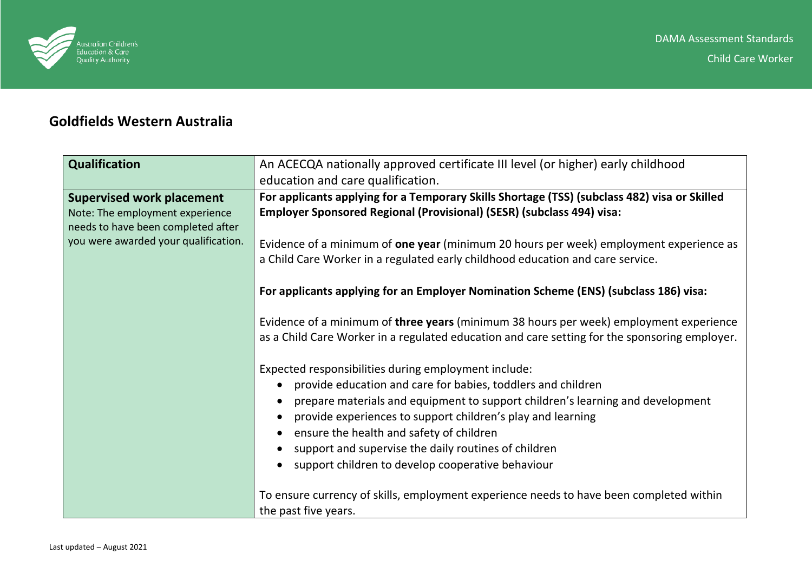

## **Goldfields Western Australia**

| An ACECQA nationally approved certificate III level (or higher) early childhood               |
|-----------------------------------------------------------------------------------------------|
| education and care qualification.                                                             |
| For applicants applying for a Temporary Skills Shortage (TSS) (subclass 482) visa or Skilled  |
| Employer Sponsored Regional (Provisional) (SESR) (subclass 494) visa:                         |
|                                                                                               |
| Evidence of a minimum of one year (minimum 20 hours per week) employment experience as        |
| a Child Care Worker in a regulated early childhood education and care service.                |
|                                                                                               |
| For applicants applying for an Employer Nomination Scheme (ENS) (subclass 186) visa:          |
|                                                                                               |
| Evidence of a minimum of three years (minimum 38 hours per week) employment experience        |
| as a Child Care Worker in a regulated education and care setting for the sponsoring employer. |
|                                                                                               |
| Expected responsibilities during employment include:                                          |
| provide education and care for babies, toddlers and children                                  |
| prepare materials and equipment to support children's learning and development<br>$\bullet$   |
| provide experiences to support children's play and learning<br>$\bullet$                      |
| ensure the health and safety of children                                                      |
| support and supervise the daily routines of children<br>$\bullet$                             |
| support children to develop cooperative behaviour                                             |
| To ensure currency of skills, employment experience needs to have been completed within       |
| the past five years.                                                                          |
|                                                                                               |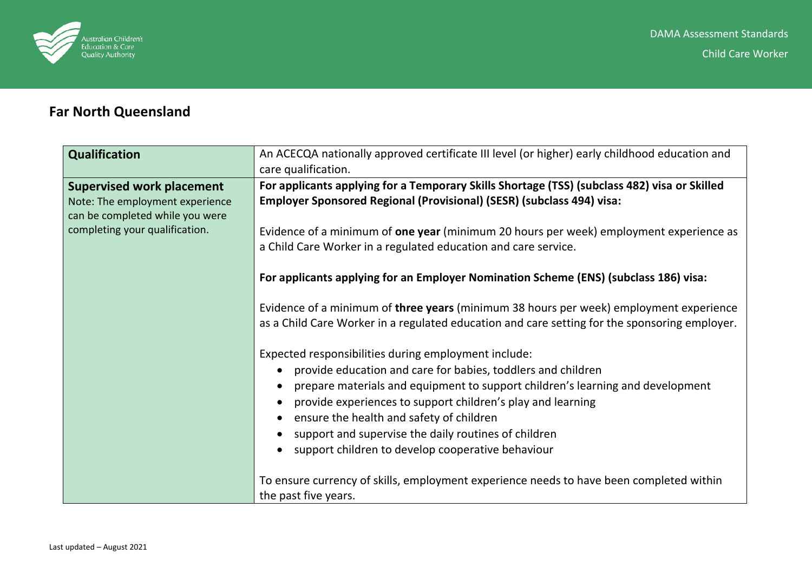

## **Far North Queensland**

| An ACECQA nationally approved certificate III level (or higher) early childhood education and |
|-----------------------------------------------------------------------------------------------|
| care qualification.                                                                           |
| For applicants applying for a Temporary Skills Shortage (TSS) (subclass 482) visa or Skilled  |
| Employer Sponsored Regional (Provisional) (SESR) (subclass 494) visa:                         |
|                                                                                               |
| Evidence of a minimum of one year (minimum 20 hours per week) employment experience as        |
| a Child Care Worker in a regulated education and care service.                                |
|                                                                                               |
| For applicants applying for an Employer Nomination Scheme (ENS) (subclass 186) visa:          |
|                                                                                               |
| Evidence of a minimum of three years (minimum 38 hours per week) employment experience        |
| as a Child Care Worker in a regulated education and care setting for the sponsoring employer. |
| Expected responsibilities during employment include:                                          |
| provide education and care for babies, toddlers and children<br>$\bullet$                     |
| prepare materials and equipment to support children's learning and development<br>$\bullet$   |
| provide experiences to support children's play and learning<br>$\bullet$                      |
| ensure the health and safety of children<br>$\bullet$                                         |
| support and supervise the daily routines of children<br>$\bullet$                             |
|                                                                                               |
| support children to develop cooperative behaviour<br>$\bullet$                                |
| To ensure currency of skills, employment experience needs to have been completed within       |
| the past five years.                                                                          |
|                                                                                               |